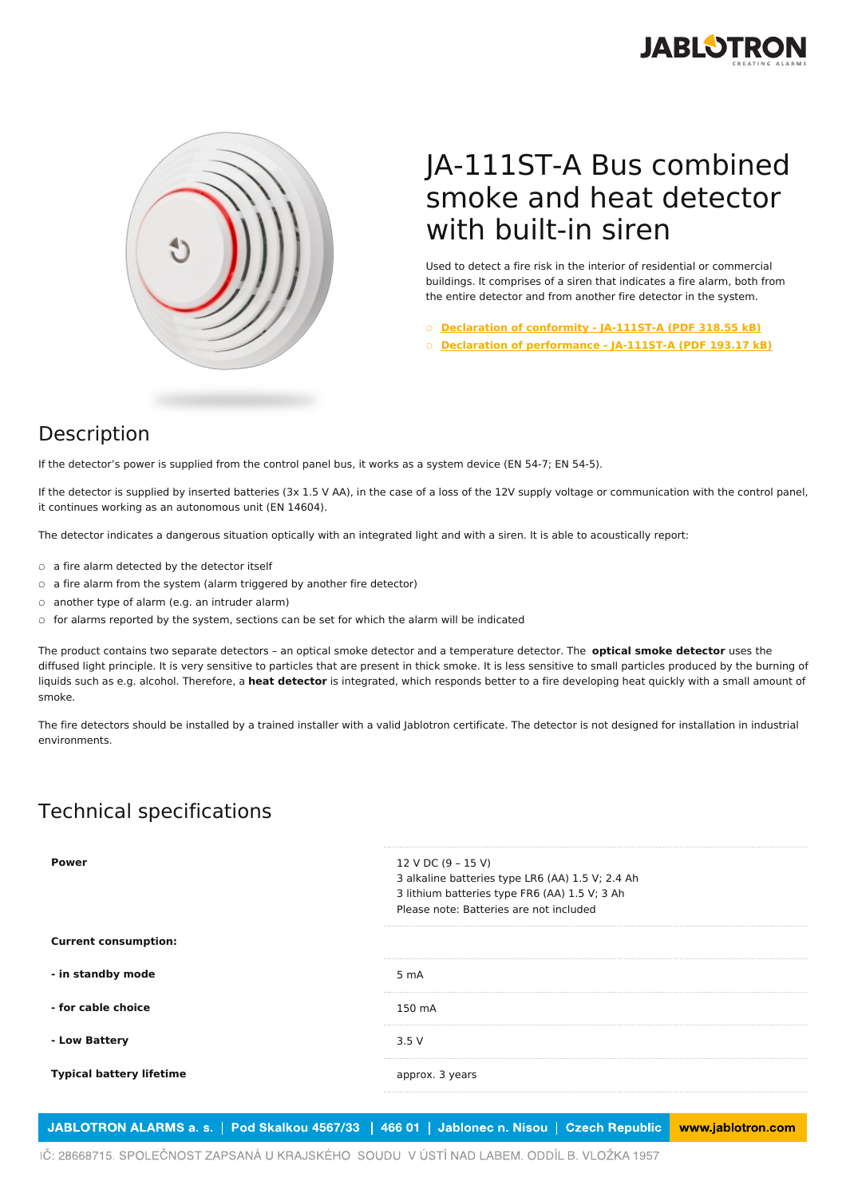



## JA-111ST-A Bus combined smoke and heat detector with built-in siren

Used to detect a fire risk in the interior of residential or commercial buildings. It comprises of a siren that indicates a fire alarm, both from the entire detector and from another fire detector in the system.

○ **[Declaration](https://www.jablotron.com/en/template/product/744/?file=0&jt_id=20067&hash=e5KerE&do=downloadCertificate) of conformity - JA-111ST-A (PDF 318.55 kB)**

○ **Declaration of [performance](https://www.jablotron.com/en/template/product/744/?file=1&jt_id=20067&hash=e5KerE&do=downloadCertificate) - JA-111ST-A (PDF 193.17 kB)**

## Description

If the detector's power is supplied from the control panel bus, it works as a system device (EN 54-7; EN 54-5).

If the detector is supplied by inserted batteries (3x 1.5 V AA), in the case of a loss of the 12V supply voltage or communication with the control panel, it continues working as an autonomous unit (EN 14604).

The detector indicates a dangerous situation optically with an integrated light and with a siren. It is able to acoustically report:

- a fire alarm detected by the detector itself
- a fire alarm from the system (alarm triggered by another fire detector)
- another type of alarm (e.g. an intruder alarm)
- for alarms reported by the system, sections can be set for which the alarm will be indicated

The product contains two separate detectors – an optical smoke detector and a temperature detector. The **optical smoke detector** uses the diffused light principle. It is very sensitive to particles that are present in thick smoke. It is less sensitive to small particles produced by the burning of liquids such as e.g. alcohol. Therefore, a **heat detector** is integrated, which responds better to a fire developing heat quickly with a small amount of smoke.

The fire detectors should be installed by a trained installer with a valid Jablotron certificate. The detector is not designed for installation in industrial environments.

## Technical specifications

| Power                           | 12 V DC (9 - 15 V)<br>3 alkaline batteries type LR6 (AA) 1.5 V; 2.4 Ah<br>3 lithium batteries type FR6 (AA) 1.5 V; 3 Ah<br>Please note: Batteries are not included |
|---------------------------------|--------------------------------------------------------------------------------------------------------------------------------------------------------------------|
| <b>Current consumption:</b>     |                                                                                                                                                                    |
| - in standby mode               | 5 mA                                                                                                                                                               |
| - for cable choice              | 150 mA                                                                                                                                                             |
| - Low Battery                   | 3.5V                                                                                                                                                               |
| <b>Typical battery lifetime</b> | approx. 3 years                                                                                                                                                    |
|                                 |                                                                                                                                                                    |

JABLOTRON ALARMS a. s. | Pod Skalkou 4567/33 | 466 01 | Jablonec n. Nisou | Czech Republic www.jablotron.com

IČ: 28668715. SPOLEČNOST ZAPSANÁ U KRAJSKÉHO SOUDU V ÚSTÍ NAD LABEM. ODDÍL B. VLOŽKA 1957